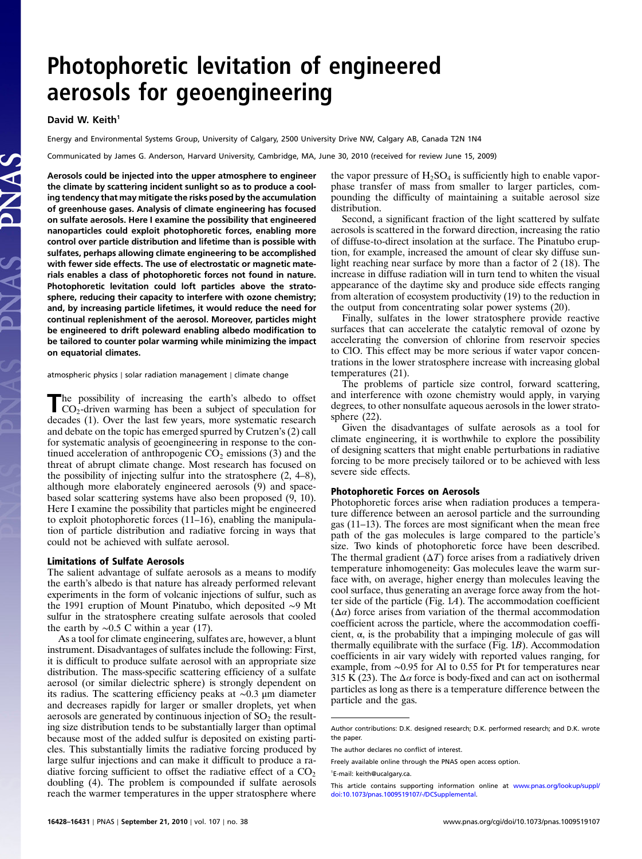# Photophoretic levitation of engineered aerosols for geoengineering

## David W. Keith<sup>1</sup>

 $\triangle$ 

Energy and Environmental Systems Group, University of Calgary, 2500 University Drive NW, Calgary AB, Canada T2N 1N4

Communicated by James G. Anderson, Harvard University, Cambridge, MA, June 30, 2010 (received for review June 15, 2009)

Aerosols could be injected into the upper atmosphere to engineer the climate by scattering incident sunlight so as to produce a cooling tendency that may mitigate the risks posed by the accumulation of greenhouse gases. Analysis of climate engineering has focused on sulfate aerosols. Here I examine the possibility that engineered nanoparticles could exploit photophoretic forces, enabling more control over particle distribution and lifetime than is possible with sulfates, perhaps allowing climate engineering to be accomplished with fewer side effects. The use of electrostatic or magnetic materials enables a class of photophoretic forces not found in nature. Photophoretic levitation could loft particles above the stratosphere, reducing their capacity to interfere with ozone chemistry; and, by increasing particle lifetimes, it would reduce the need for continual replenishment of the aerosol. Moreover, particles might be engineered to drift poleward enabling albedo modification to be tailored to counter polar warming while minimizing the impact on equatorial climates.

atmospheric physics ∣ solar radiation management ∣ climate change

The possibility of increasing the earth's albedo to offset  $CO<sub>2</sub>$ -driven warming has been a subject of speculation for decades (1). Over the last few years, more systematic research and debate on the topic has emerged spurred by Crutzen's (2) call for systematic analysis of geoengineering in response to the continued acceleration of anthropogenic  $CO<sub>2</sub>$  emissions (3) and the threat of abrupt climate change. Most research has focused on the possibility of injecting sulfur into the stratosphere (2, 4–8), although more elaborately engineered aerosols (9) and spacebased solar scattering systems have also been proposed (9, 10). Here I examine the possibility that particles might be engineered to exploit photophoretic forces (11–16), enabling the manipulation of particle distribution and radiative forcing in ways that could not be achieved with sulfate aerosol.

# Limitations of Sulfate Aerosols

The salient advantage of sulfate aerosols as a means to modify the earth's albedo is that nature has already performed relevant experiments in the form of volcanic injections of sulfur, such as the 1991 eruption of Mount Pinatubo, which deposited ∼9 Mt sulfur in the stratosphere creating sulfate aerosols that cooled the earth by  $~\sim 0.5$  C within a year (17).

As a tool for climate engineering, sulfates are, however, a blunt instrument. Disadvantages of sulfates include the following: First, it is difficult to produce sulfate aerosol with an appropriate size distribution. The mass-specific scattering efficiency of a sulfate aerosol (or similar dielectric sphere) is strongly dependent on its radius. The scattering efficiency peaks at ∼0.3 μm diameter and decreases rapidly for larger or smaller droplets, yet when aerosols are generated by continuous injection of  $SO<sub>2</sub>$  the resulting size distribution tends to be substantially larger than optimal because most of the added sulfur is deposited on existing particles. This substantially limits the radiative forcing produced by large sulfur injections and can make it difficult to produce a radiative forcing sufficient to offset the radiative effect of a  $CO<sub>2</sub>$ doubling (4). The problem is compounded if sulfate aerosols reach the warmer temperatures in the upper stratosphere where

the vapor pressure of  $H_2SO_4$  is sufficiently high to enable vaporphase transfer of mass from smaller to larger particles, compounding the difficulty of maintaining a suitable aerosol size distribution.

Second, a significant fraction of the light scattered by sulfate aerosols is scattered in the forward direction, increasing the ratio of diffuse-to-direct insolation at the surface. The Pinatubo eruption, for example, increased the amount of clear sky diffuse sunlight reaching near surface by more than a factor of 2 (18). The increase in diffuse radiation will in turn tend to whiten the visual appearance of the daytime sky and produce side effects ranging from alteration of ecosystem productivity (19) to the reduction in the output from concentrating solar power systems (20).

Finally, sulfates in the lower stratosphere provide reactive surfaces that can accelerate the catalytic removal of ozone by accelerating the conversion of chlorine from reservoir species to ClO. This effect may be more serious if water vapor concentrations in the lower stratosphere increase with increasing global temperatures (21).

The problems of particle size control, forward scattering, and interference with ozone chemistry would apply, in varying degrees, to other nonsulfate aqueous aerosols in the lower stratosphere (22).

Given the disadvantages of sulfate aerosols as a tool for climate engineering, it is worthwhile to explore the possibility of designing scatters that might enable perturbations in radiative forcing to be more precisely tailored or to be achieved with less severe side effects.

#### Photophoretic Forces on Aerosols

Photophoretic forces arise when radiation produces a temperature difference between an aerosol particle and the surrounding gas (11–13). The forces are most significant when the mean free path of the gas molecules is large compared to the particle'<sup>s</sup> size. Two kinds of photophoretic force have been described. The thermal gradient  $(\Delta T)$  force arises from a radiatively driven temperature inhomogeneity: Gas molecules leave the warm surface with, on average, higher energy than molecules leaving the cool surface, thus generating an average force away from the hotter side of the particle (Fig.  $1A$ ). The accommodation coefficient  $(\Delta \alpha)$  force arises from variation of the thermal accommodation coefficient across the particle, where the accommodation coefficient,  $\alpha$ , is the probability that a impinging molecule of gas will thermally equilibrate with the surface (Fig. 1B). Accommodation coefficients in air vary widely with reported values ranging, for example, from ∼0.95 for Al to 0.55 for Pt for temperatures near 315 K (23). The  $\Delta \alpha$  force is body-fixed and can act on isothermal particles as long as there is a temperature difference between the particle and the gas.

Author contributions: D.K. designed research; D.K. performed research; and D.K. wrote the paper.

The author declares no conflict of interest.

Freely available online through the PNAS open access option.

<sup>1</sup> E-mail: keith@ucalgary.ca.

This article contains supporting information online at [www.pnas.org/lookup/suppl/](http://www.pnas.org/lookup/suppl/doi:10.1073/pnas.1009519107/-/DCSupplemental) [doi:10.1073/pnas.1009519107/-/DCSupplemental.](http://www.pnas.org/lookup/suppl/doi:10.1073/pnas.1009519107/-/DCSupplemental)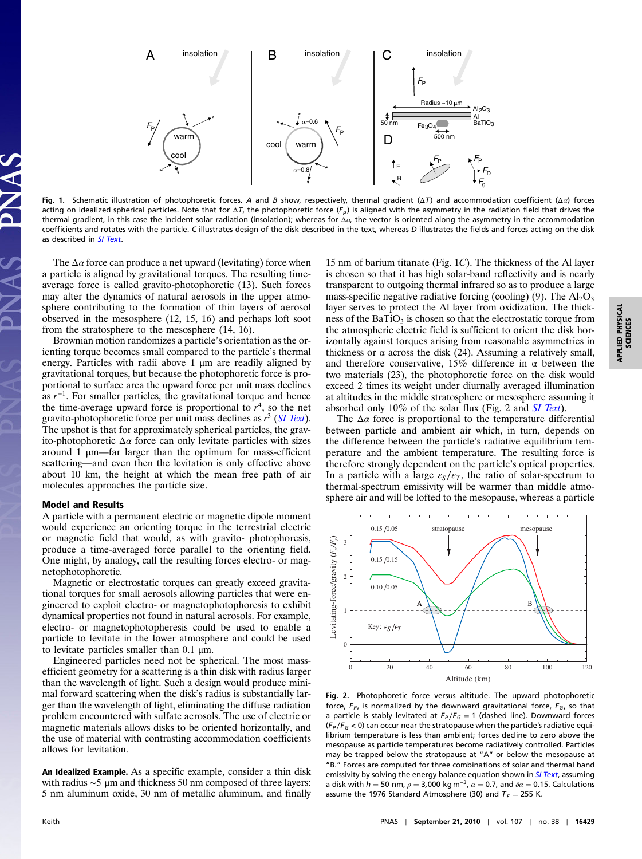APPLIED PHYSICAL<br>Sciences APPLIED PHYSICAL SCIENCES



Fig. 1. Schematic illustration of photophoretic forces. A and B show, respectively, thermal gradient (ΔT) and accommodation coefficient (Δα) forces acting on idealized spherical particles. Note that for  $\Delta T$ , the photophoretic force ( $F_p$ ) is aligned with the asymmetry in the radiation field that drives the thermal gradient, in this case the incident solar radiation (insolation); whereas for  $\Delta a$ , the vector is oriented along the asymmetry in the accommodation coefficients and rotates with the particle. C illustrates design of the disk described in the text, whereas D illustrates the fields and forces acting on the disk as described in [SI Text](http://www.pnas.org/lookup/suppl/doi:10.1073/pnas.1009519107/-/DCSupplemental/pnas.1009519107_SI.pdf?targetid=STXT).

The  $\Delta \alpha$  force can produce a net upward (levitating) force when a particle is aligned by gravitational torques. The resulting timeaverage force is called gravito-photophoretic (13). Such forces may alter the dynamics of natural aerosols in the upper atmosphere contributing to the formation of thin layers of aerosol observed in the mesosphere (12, 15, 16) and perhaps loft soot from the stratosphere to the mesosphere (14, 16).

Brownian motion randomizes a particle's orientation as the orienting torque becomes small compared to the particle's thermal energy. Particles with radii above  $1 \mu m$  are readily aligned by gravitational torques, but because the photophoretic force is proportional to surface area the upward force per unit mass declines as  $r^{-1}$ . For smaller particles, the gravitational torque and hence the time-average upward force is proportional to  $r<sup>4</sup>$ , so the net gravito-photophoretic force per unit mass declines as  $r^3$  ([SI Text](http://www.pnas.org/lookup/suppl/doi:10.1073/pnas.1009519107/-/DCSupplemental/pnas.1009519107_SI.pdf?targetid=STXT)). The upshot is that for approximately spherical particles, the gravito-photophoretic  $\Delta \alpha$  force can only levitate particles with sizes around 1 <sup>μ</sup>m—far larger than the optimum for mass-efficient scattering—and even then the levitation is only effective above about 10 km, the height at which the mean free path of air molecules approaches the particle size.

### Model and Results

A particle with a permanent electric or magnetic dipole moment would experience an orienting torque in the terrestrial electric or magnetic field that would, as with gravito- photophoresis, produce a time-averaged force parallel to the orienting field. One might, by analogy, call the resulting forces electro- or magnetophotophoretic.

Magnetic or electrostatic torques can greatly exceed gravitational torques for small aerosols allowing particles that were engineered to exploit electro- or magnetophotophoresis to exhibit dynamical properties not found in natural aerosols. For example, electro- or magnetophotopheresis could be used to enable a particle to levitate in the lower atmosphere and could be used to levitate particles smaller than 0.1 μm.

Engineered particles need not be spherical. The most massefficient geometry for a scattering is a thin disk with radius larger than the wavelength of light. Such a design would produce minimal forward scattering when the disk's radius is substantially larger than the wavelength of light, eliminating the diffuse radiation problem encountered with sulfate aerosols. The use of electric or magnetic materials allows disks to be oriented horizontally, and the use of material with contrasting accommodation coefficients allows for levitation.

An Idealized Example. As a specific example, consider a thin disk with radius ∼5 μm and thickness 50 nm composed of three layers: 5 nm aluminum oxide, 30 nm of metallic aluminum, and finally

15 nm of barium titanate (Fig. 1C). The thickness of the Al layer is chosen so that it has high solar-band reflectivity and is nearly transparent to outgoing thermal infrared so as to produce a large mass-specific negative radiative forcing (cooling) (9). The  $Al_2O_3$ layer serves to protect the Al layer from oxidization. The thickness of the BaTiO<sub>3</sub> is chosen so that the electrostatic torque from the atmospheric electric field is sufficient to orient the disk horizontally against torques arising from reasonable asymmetries in thickness or  $\alpha$  across the disk (24). Assuming a relatively small, and therefore conservative, 15% difference in  $\alpha$  between the two materials (23), the photophoretic force on the disk would exceed 2 times its weight under diurnally averaged illumination at altitudes in the middle stratosphere or mesosphere assuming it absorbed only 10% of the solar flux (Fig. 2 and [SI Text](http://www.pnas.org/lookup/suppl/doi:10.1073/pnas.1009519107/-/DCSupplemental/pnas.1009519107_SI.pdf?targetid=STXT)).

The  $\Delta \alpha$  force is proportional to the temperature differential between particle and ambient air which, in turn, depends on the difference between the particle's radiative equilibrium temperature and the ambient temperature. The resulting force is therefore strongly dependent on the particle's optical properties. In a particle with a large  $\varepsilon_S/\varepsilon_T$ , the ratio of solar-spectrum to thermal-spectrum emissivity will be warmer than middle atmosphere air and will be lofted to the mesopause, whereas a particle



Fig. 2. Photophoretic force versus altitude. The upward photophoretic force,  $F_p$ , is normalized by the downward gravitational force,  $F_q$ , so that a particle is stably levitated at  $F_P/F_G = 1$  (dashed line). Downward forces  $(F_P/F_G < 0)$  can occur near the stratopause when the particle's radiative equilibrium temperature is less than ambient; forces decline to zero above the mesopause as particle temperatures become radiatively controlled. Particles may be trapped below the stratopause at "A" or below the mesopause at "B." Forces are computed for three combinations of solar and thermal band emissivity by solving the energy balance equation shown in *[SI Text](http://www.pnas.org/lookup/suppl/doi:10.1073/pnas.1009519107/-/DCSupplemental/pnas.1009519107_SI.pdf?targetid=STXT)*, assuming a disk with  $h = 50$  nm,  $\rho = 3,000$  kg m<sup>-3</sup>,  $\bar{\alpha} = 0.7$ , and  $\delta \alpha = 0.15$ . Calculations assume the 1976 Standard Atmosphere (30) and  $T_E = 255$  K.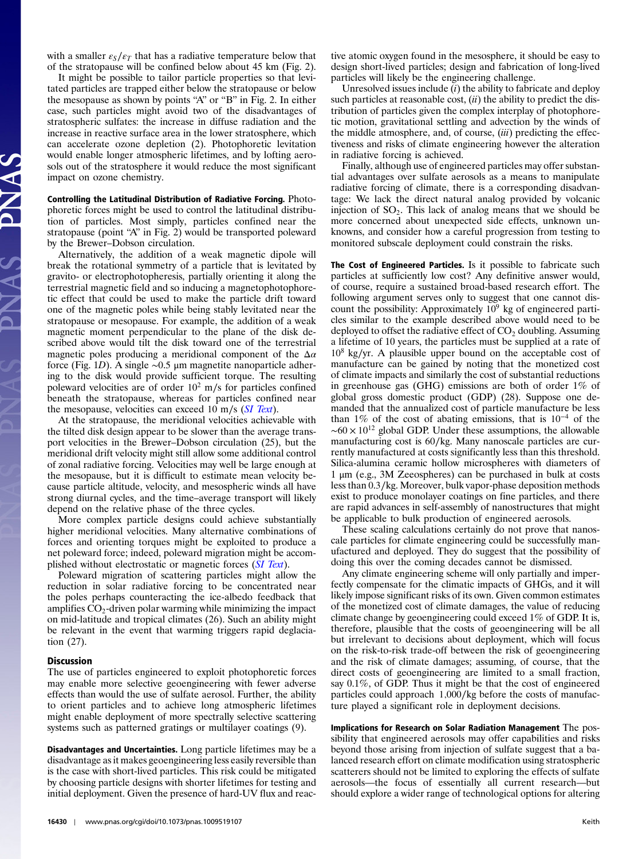with a smaller  $\varepsilon_{\rm S}/\varepsilon_{\rm T}$  that has a radiative temperature below that of the stratopause will be confined below about 45 km (Fig. 2).

It might be possible to tailor particle properties so that levitated particles are trapped either below the stratopause or below the mesopause as shown by points "A" or "B" in Fig. 2. In either case, such particles might avoid two of the disadvantages of stratospheric sulfates: the increase in diffuse radiation and the increase in reactive surface area in the lower stratosphere, which can accelerate ozone depletion (2). Photophoretic levitation would enable longer atmospheric lifetimes, and by lofting aerosols out of the stratosphere it would reduce the most significant impact on ozone chemistry.

Controlling the Latitudinal Distribution of Radiative Forcing. Photophoretic forces might be used to control the latitudinal distribution of particles. Most simply, particles confined near the stratopause (point "A" in Fig. 2) would be transported poleward by the Brewer–Dobson circulation.

Alternatively, the addition of a weak magnetic dipole will break the rotational symmetry of a particle that is levitated by gravito- or electrophotopheresis, partially orienting it along the terrestrial magnetic field and so inducing a magnetophotophoretic effect that could be used to make the particle drift toward one of the magnetic poles while being stably levitated near the stratopause or mesopause. For example, the addition of a weak magnetic moment perpendicular to the plane of the disk described above would tilt the disk toward one of the terrestrial magnetic poles producing a meridional component of the  $\Delta \alpha$ force (Fig. 1D). A single ∼0.5 μm magnetite nanoparticle adhering to the disk would provide sufficient torque. The resulting poleward velocities are of order  $10^2$  m/s for particles confined beneath the stratopause, whereas for particles confined near the mesopause, velocities can exceed 10 m∕s ([SI Text](http://www.pnas.org/lookup/suppl/doi:10.1073/pnas.1009519107/-/DCSupplemental/pnas.1009519107_SI.pdf?targetid=STXT)).

At the stratopause, the meridional velocities achievable with the tilted disk design appear to be slower than the average transport velocities in the Brewer–Dobson circulation (25), but the meridional drift velocity might still allow some additional control of zonal radiative forcing. Velocities may well be large enough at the mesopause, but it is difficult to estimate mean velocity because particle altitude, velocity, and mesospheric winds all have strong diurnal cycles, and the time–average transport will likely depend on the relative phase of the three cycles.

More complex particle designs could achieve substantially higher meridional velocities. Many alternative combinations of forces and orienting torques might be exploited to produce a net poleward force; indeed, poleward migration might be accomplished without electrostatic or magnetic forces ([SI Text](http://www.pnas.org/lookup/suppl/doi:10.1073/pnas.1009519107/-/DCSupplemental/pnas.1009519107_SI.pdf?targetid=STXT)).

Poleward migration of scattering particles might allow the reduction in solar radiative forcing to be concentrated near the poles perhaps counteracting the ice-albedo feedback that amplifies  $CO<sub>2</sub>$ -driven polar warming while minimizing the impact on mid-latitude and tropical climates (26). Such an ability might be relevant in the event that warming triggers rapid deglaciation (27).

#### Discussion

The use of particles engineered to exploit photophoretic forces may enable more selective geoengineering with fewer adverse effects than would the use of sulfate aerosol. Further, the ability to orient particles and to achieve long atmospheric lifetimes might enable deployment of more spectrally selective scattering systems such as patterned gratings or multilayer coatings (9).

Disadvantages and Uncertainties. Long particle lifetimes may be a disadvantage as it makes geoengineering less easily reversible than is the case with short-lived particles. This risk could be mitigated by choosing particle designs with shorter lifetimes for testing and initial deployment. Given the presence of hard-UV flux and reac-

tive atomic oxygen found in the mesosphere, it should be easy to design short-lived particles; design and fabrication of long-lived particles will likely be the engineering challenge.

Unresolved issues include  $(i)$  the ability to fabricate and deploy such particles at reasonable cost,  $(ii)$  the ability to predict the distribution of particles given the complex interplay of photophoretic motion, gravitational settling and advection by the winds of the middle atmosphere, and, of course, *(iii)* predicting the effectiveness and risks of climate engineering however the alteration in radiative forcing is achieved.

Finally, although use of engineered particles may offer substantial advantages over sulfate aerosols as a means to manipulate radiative forcing of climate, there is a corresponding disadvantage: We lack the direct natural analog provided by volcanic injection of  $SO_2$ . This lack of analog means that we should be more concerned about unexpected side effects, unknown unknowns, and consider how a careful progression from testing to monitored subscale deployment could constrain the risks.

The Cost of Engineered Particles. Is it possible to fabricate such particles at sufficiently low cost? Any definitive answer would, of course, require a sustained broad-based research effort. The following argument serves only to suggest that one cannot discount the possibility: Approximately  $10<sup>9</sup>$  kg of engineered particles similar to the example described above would need to be deployed to offset the radiative effect of  $CO<sub>2</sub>$  doubling. Assuming a lifetime of 10 years, the particles must be supplied at a rate of 10<sup>8</sup> kg∕yr. A plausible upper bound on the acceptable cost of manufacture can be gained by noting that the monetized cost of climate impacts and similarly the cost of substantial reductions in greenhouse gas (GHG) emissions are both of order 1% of global gross domestic product (GDP) (28). Suppose one demanded that the annualized cost of particle manufacture be less than 1% of the cost of abating emissions, that is 10<sup>−</sup><sup>4</sup> of the ∼60 *×* 10<sup>12</sup> global GDP. Under these assumptions, the allowable manufacturing cost is 60∕kg. Many nanoscale particles are currently manufactured at costs significantly less than this threshold. Silica-alumina ceramic hollow microspheres with diameters of 1 μm (e.g., 3M Zeeospheres) can be purchased in bulk at costs less than 0.3∕kg. Moreover, bulk vapor-phase deposition methods exist to produce monolayer coatings on fine particles, and there are rapid advances in self-assembly of nanostructures that might be applicable to bulk production of engineered aerosols.

These scaling calculations certainly do not prove that nanoscale particles for climate engineering could be successfully manufactured and deployed. They do suggest that the possibility of doing this over the coming decades cannot be dismissed.

Any climate engineering scheme will only partially and imperfectly compensate for the climatic impacts of GHGs, and it will likely impose significant risks of its own. Given common estimates of the monetized cost of climate damages, the value of reducing climate change by geoengineering could exceed 1% of GDP. It is, therefore, plausible that the costs of geoengineering will be all but irrelevant to decisions about deployment, which will focus on the risk-to-risk trade-off between the risk of geoengineering and the risk of climate damages; assuming, of course, that the direct costs of geoengineering are limited to a small fraction, say 0.1%, of GDP. Thus it might be that the cost of engineered particles could approach 1;000∕kg before the costs of manufacture played a significant role in deployment decisions.

Implications for Research on Solar Radiation Management The possibility that engineered aerosols may offer capabilities and risks beyond those arising from injection of sulfate suggest that a balanced research effort on climate modification using stratospheric scatterers should not be limited to exploring the effects of sulfate aerosols—the focus of essentially all current research—but should explore a wider range of technological options for altering